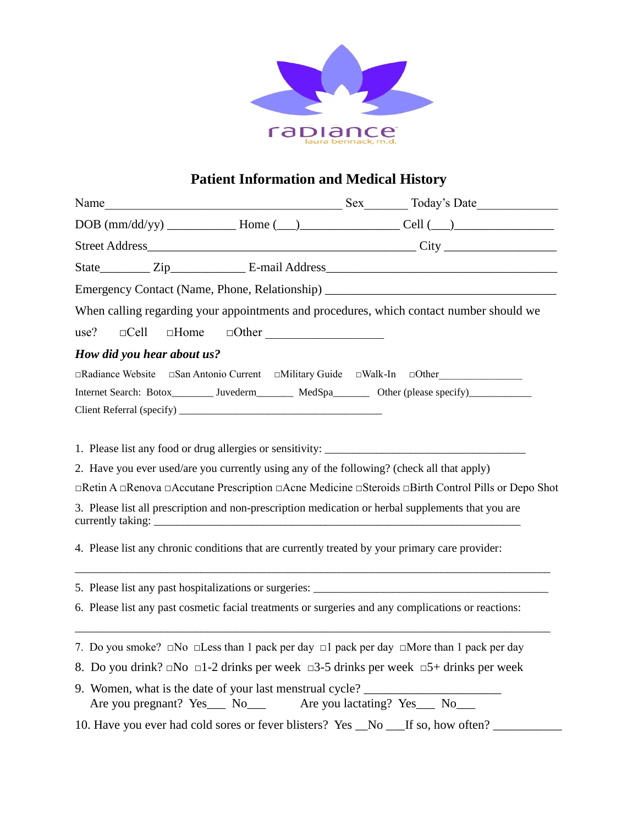

## **Patient Information and Medical History**

|                            |                                                                                                                                                                                               | Emergency Contact (Name, Phone, Relationship) __________________________________                                                                                                                                               |
|----------------------------|-----------------------------------------------------------------------------------------------------------------------------------------------------------------------------------------------|--------------------------------------------------------------------------------------------------------------------------------------------------------------------------------------------------------------------------------|
|                            |                                                                                                                                                                                               | When calling regarding your appointments and procedures, which contact number should we                                                                                                                                        |
|                            |                                                                                                                                                                                               |                                                                                                                                                                                                                                |
| How did you hear about us? |                                                                                                                                                                                               |                                                                                                                                                                                                                                |
|                            |                                                                                                                                                                                               | □Radiance Website □San Antonio Current □Military Guide □Walk-In □Other                                                                                                                                                         |
|                            |                                                                                                                                                                                               | Internet Search: Botox________ Juvederm_______ MedSpa_______ Other (please specify)____________                                                                                                                                |
|                            |                                                                                                                                                                                               |                                                                                                                                                                                                                                |
|                            | 2. Have you ever used/are you currently using any of the following? (check all that apply)<br>4. Please list any chronic conditions that are currently treated by your primary care provider: | □Retin A □Renova □Accutane Prescription □Acne Medicine □Steroids □Birth Control Pills or Depo Shot<br>3. Please list all prescription and non-prescription medication or herbal supplements that you are                       |
|                            |                                                                                                                                                                                               | 6. Please list any past cosmetic facial treatments or surgeries and any complications or reactions:                                                                                                                            |
|                            | 9. Women, what is the date of your last menstrual cycle?<br>Are you pregnant? Yes___ No___ Are you lactating? Yes___ No___                                                                    | 7. Do you smoke? $\Box$ No $\Box$ Less than 1 pack per day $\Box$ 1 pack per day $\Box$ More than 1 pack per day<br>8. Do you drink? $\Box$ No $\Box$ 1-2 drinks per week $\Box$ 3-5 drinks per week $\Box$ 5+ drinks per week |
|                            |                                                                                                                                                                                               | 10. Have you ever had cold sores or fever blisters? Yes _No __If so, how often? _                                                                                                                                              |